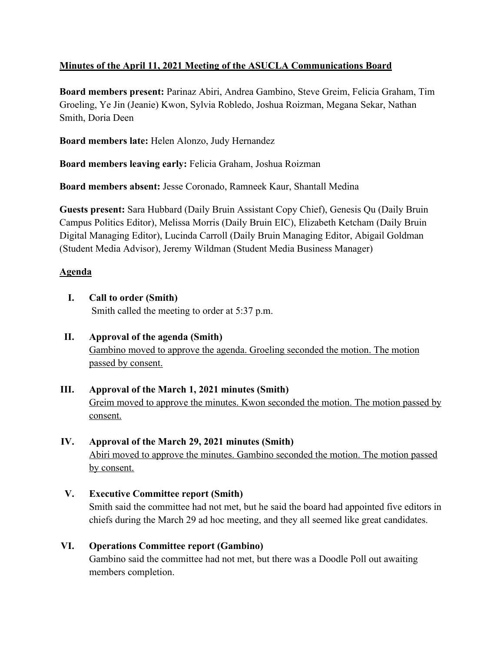# **Minutes of the April 11, 2021 Meeting of the ASUCLA Communications Board**

**Board members present:** Parinaz Abiri, Andrea Gambino, Steve Greim, Felicia Graham, Tim Groeling, Ye Jin (Jeanie) Kwon, Sylvia Robledo, Joshua Roizman, Megana Sekar, Nathan Smith, Doria Deen

**Board members late:** Helen Alonzo, Judy Hernandez

**Board members leaving early:** Felicia Graham, Joshua Roizman

**Board members absent:** Jesse Coronado, Ramneek Kaur, Shantall Medina

**Guests present:** Sara Hubbard (Daily Bruin Assistant Copy Chief), Genesis Qu (Daily Bruin Campus Politics Editor), Melissa Morris (Daily Bruin EIC), Elizabeth Ketcham (Daily Bruin Digital Managing Editor), Lucinda Carroll (Daily Bruin Managing Editor, Abigail Goldman (Student Media Advisor), Jeremy Wildman (Student Media Business Manager)

# **Agenda**

- **I. Call to order (Smith)** Smith called the meeting to order at 5:37 p.m.
- **II. Approval of the agenda (Smith)** Gambino moved to approve the agenda. Groeling seconded the motion. The motion passed by consent.
- **III. Approval of the March 1, 2021 minutes (Smith)** Greim moved to approve the minutes. Kwon seconded the motion. The motion passed by consent.
- **IV. Approval of the March 29, 2021 minutes (Smith)** Abiri moved to approve the minutes. Gambino seconded the motion. The motion passed by consent.
- **V. Executive Committee report (Smith)** Smith said the committee had not met, but he said the board had appointed five editors in chiefs during the March 29 ad hoc meeting, and they all seemed like great candidates.
- **VI. Operations Committee report (Gambino)** Gambino said the committee had not met, but there was a Doodle Poll out awaiting members completion.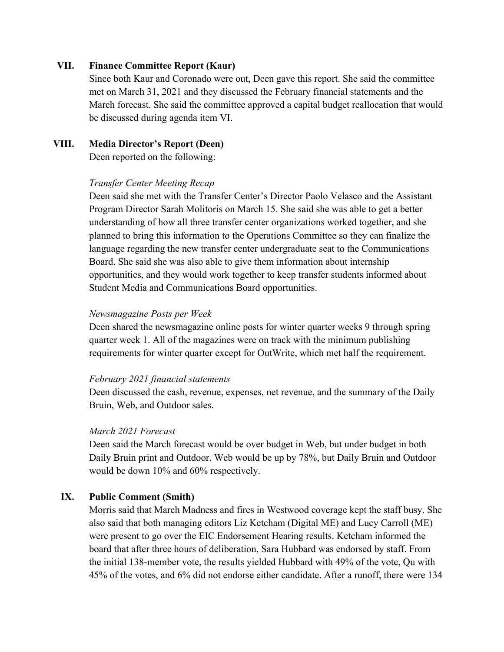#### **VII. Finance Committee Report (Kaur)**

Since both Kaur and Coronado were out, Deen gave this report. She said the committee met on March 31, 2021 and they discussed the February financial statements and the March forecast. She said the committee approved a capital budget reallocation that would be discussed during agenda item VI.

#### **VIII. Media Director's Report (Deen)**

Deen reported on the following:

#### *Transfer Center Meeting Recap*

Deen said she met with the Transfer Center's Director Paolo Velasco and the Assistant Program Director Sarah Molitoris on March 15. She said she was able to get a better understanding of how all three transfer center organizations worked together, and she planned to bring this information to the Operations Committee so they can finalize the language regarding the new transfer center undergraduate seat to the Communications Board. She said she was also able to give them information about internship opportunities, and they would work together to keep transfer students informed about Student Media and Communications Board opportunities.

#### *Newsmagazine Posts per Week*

Deen shared the newsmagazine online posts for winter quarter weeks 9 through spring quarter week 1. All of the magazines were on track with the minimum publishing requirements for winter quarter except for OutWrite, which met half the requirement.

#### *February 2021 financial statements*

Deen discussed the cash, revenue, expenses, net revenue, and the summary of the Daily Bruin, Web, and Outdoor sales.

#### *March 2021 Forecast*

Deen said the March forecast would be over budget in Web, but under budget in both Daily Bruin print and Outdoor. Web would be up by 78%, but Daily Bruin and Outdoor would be down 10% and 60% respectively.

#### **IX. Public Comment (Smith)**

Morris said that March Madness and fires in Westwood coverage kept the staff busy. She also said that both managing editors Liz Ketcham (Digital ME) and Lucy Carroll (ME) were present to go over the EIC Endorsement Hearing results. Ketcham informed the board that after three hours of deliberation, Sara Hubbard was endorsed by staff. From the initial 138-member vote, the results yielded Hubbard with 49% of the vote, Qu with 45% of the votes, and 6% did not endorse either candidate. After a runoff, there were 134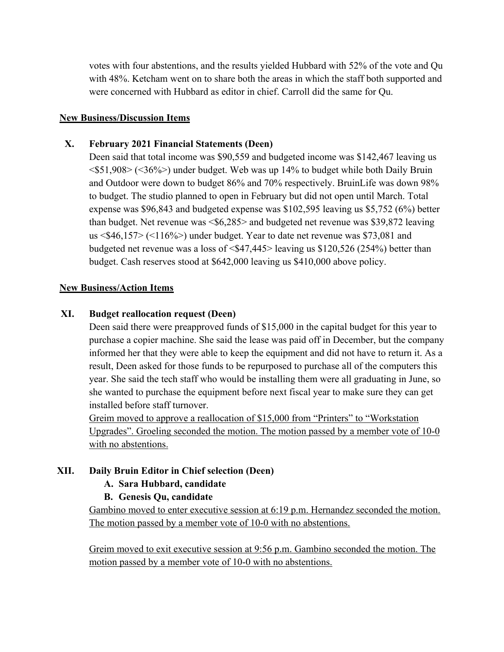votes with four abstentions, and the results yielded Hubbard with 52% of the vote and Qu with 48%. Ketcham went on to share both the areas in which the staff both supported and were concerned with Hubbard as editor in chief. Carroll did the same for Qu.

#### **New Business/Discussion Items**

## **X. February 2021 Financial Statements (Deen)**

Deen said that total income was \$90,559 and budgeted income was \$142,467 leaving us <\$51,908> (<36%>) under budget. Web was up 14% to budget while both Daily Bruin and Outdoor were down to budget 86% and 70% respectively. BruinLife was down 98% to budget. The studio planned to open in February but did not open until March. Total expense was \$96,843 and budgeted expense was \$102,595 leaving us \$5,752 (6%) better than budget. Net revenue was  $\langle $6,285 \rangle$  and budgeted net revenue was \$39,872 leaving us <\$46,157> (<116%>) under budget. Year to date net revenue was \$73,081 and budgeted net revenue was a loss of  $\leq$  \$47,445 > leaving us \$120,526 (254%) better than budget. Cash reserves stood at \$642,000 leaving us \$410,000 above policy.

#### **New Business/Action Items**

### **XI. Budget reallocation request (Deen)**

Deen said there were preapproved funds of \$15,000 in the capital budget for this year to purchase a copier machine. She said the lease was paid off in December, but the company informed her that they were able to keep the equipment and did not have to return it. As a result, Deen asked for those funds to be repurposed to purchase all of the computers this year. She said the tech staff who would be installing them were all graduating in June, so she wanted to purchase the equipment before next fiscal year to make sure they can get installed before staff turnover.

Greim moved to approve a reallocation of \$15,000 from "Printers" to "Workstation Upgrades". Groeling seconded the motion. The motion passed by a member vote of 10-0 with no abstentions.

## **XII. Daily Bruin Editor in Chief selection (Deen)**

## **A. Sara Hubbard, candidate**

## **B. Genesis Qu, candidate**

Gambino moved to enter executive session at 6:19 p.m. Hernandez seconded the motion. The motion passed by a member vote of 10-0 with no abstentions.

Greim moved to exit executive session at 9:56 p.m. Gambino seconded the motion. The motion passed by a member vote of 10-0 with no abstentions.